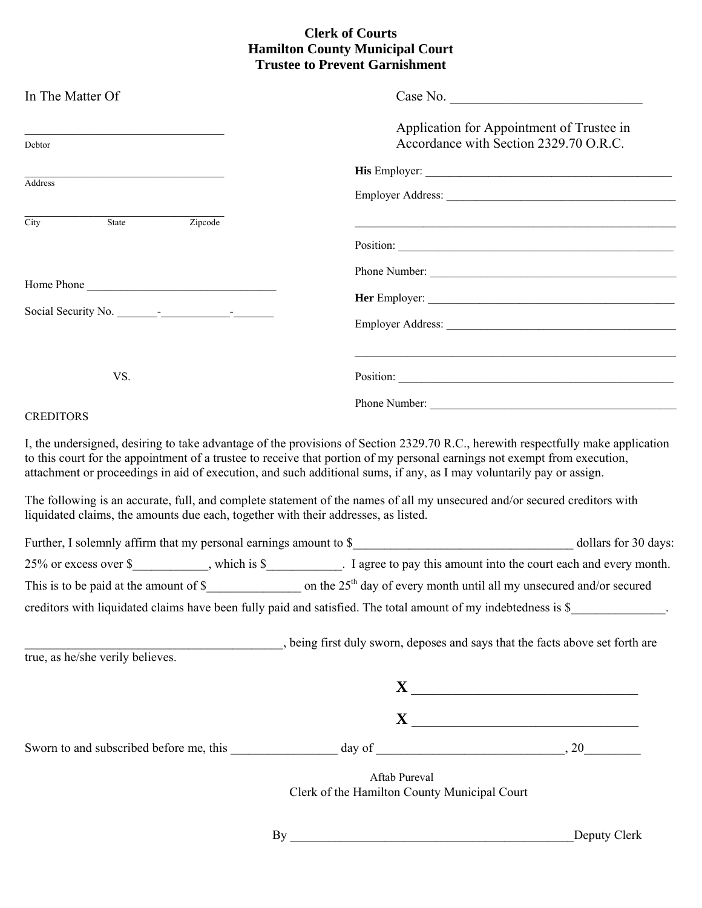## **Clerk of Courts Hamilton County Municipal Court Trustee to Prevent Garnishment**

| In The Matter Of                                                                   | Case No.                                                                                                                                                                                                                                                                                                                                                                              |  |  |  |  |
|------------------------------------------------------------------------------------|---------------------------------------------------------------------------------------------------------------------------------------------------------------------------------------------------------------------------------------------------------------------------------------------------------------------------------------------------------------------------------------|--|--|--|--|
| Debtor                                                                             | Application for Appointment of Trustee in<br>Accordance with Section 2329.70 O.R.C.                                                                                                                                                                                                                                                                                                   |  |  |  |  |
|                                                                                    |                                                                                                                                                                                                                                                                                                                                                                                       |  |  |  |  |
| Address                                                                            |                                                                                                                                                                                                                                                                                                                                                                                       |  |  |  |  |
| State<br>City<br>Zipcode                                                           |                                                                                                                                                                                                                                                                                                                                                                                       |  |  |  |  |
|                                                                                    | Position:                                                                                                                                                                                                                                                                                                                                                                             |  |  |  |  |
|                                                                                    | Phone Number:                                                                                                                                                                                                                                                                                                                                                                         |  |  |  |  |
| Home Phone                                                                         |                                                                                                                                                                                                                                                                                                                                                                                       |  |  |  |  |
| Social Security No.                                                                |                                                                                                                                                                                                                                                                                                                                                                                       |  |  |  |  |
| VS.                                                                                | Position:                                                                                                                                                                                                                                                                                                                                                                             |  |  |  |  |
|                                                                                    |                                                                                                                                                                                                                                                                                                                                                                                       |  |  |  |  |
| <b>CREDITORS</b>                                                                   |                                                                                                                                                                                                                                                                                                                                                                                       |  |  |  |  |
|                                                                                    | I, the undersigned, desiring to take advantage of the provisions of Section 2329.70 R.C., herewith respectfully make application<br>to this court for the appointment of a trustee to receive that portion of my personal earnings not exempt from execution,<br>attachment or proceedings in aid of execution, and such additional sums, if any, as I may voluntarily pay or assign. |  |  |  |  |
| liquidated claims, the amounts due each, together with their addresses, as listed. | The following is an accurate, full, and complete statement of the names of all my unsecured and/or secured creditors with                                                                                                                                                                                                                                                             |  |  |  |  |
|                                                                                    |                                                                                                                                                                                                                                                                                                                                                                                       |  |  |  |  |
|                                                                                    | 25% or excess over \$___________, which is \$__________. I agree to pay this amount into the court each and every month.                                                                                                                                                                                                                                                              |  |  |  |  |
|                                                                                    | This is to be paid at the amount of $\frac{1}{2}$ on the 25 <sup>th</sup> day of every month until all my unsecured and/or secured                                                                                                                                                                                                                                                    |  |  |  |  |
|                                                                                    | creditors with liquidated claims have been fully paid and satisfied. The total amount of my indebtedness is \$                                                                                                                                                                                                                                                                        |  |  |  |  |
|                                                                                    | being first duly sworn, deposes and says that the facts above set forth are                                                                                                                                                                                                                                                                                                           |  |  |  |  |
| true, as he/she verily believes.                                                   |                                                                                                                                                                                                                                                                                                                                                                                       |  |  |  |  |
|                                                                                    |                                                                                                                                                                                                                                                                                                                                                                                       |  |  |  |  |
|                                                                                    | $\mathbf{X}$                                                                                                                                                                                                                                                                                                                                                                          |  |  |  |  |
|                                                                                    |                                                                                                                                                                                                                                                                                                                                                                                       |  |  |  |  |
|                                                                                    | Aftab Pureval<br>Clerk of the Hamilton County Municipal Court                                                                                                                                                                                                                                                                                                                         |  |  |  |  |
|                                                                                    | Deputy Clerk<br>By                                                                                                                                                                                                                                                                                                                                                                    |  |  |  |  |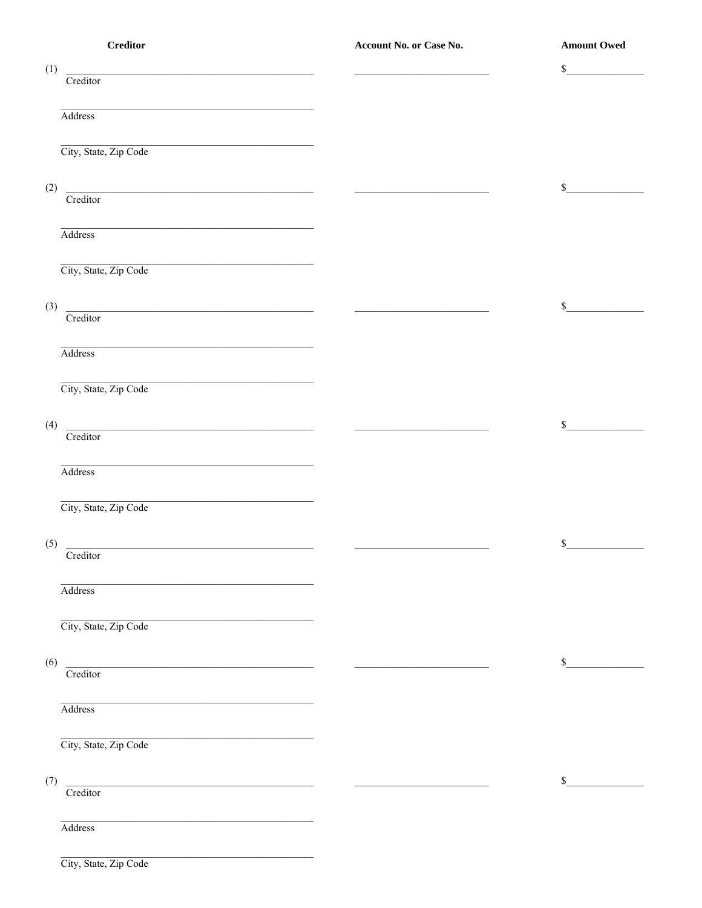|     | <b>Creditor</b>                                                                                                                   | Account No. or Case No.                        | <b>Amount Owed</b>          |
|-----|-----------------------------------------------------------------------------------------------------------------------------------|------------------------------------------------|-----------------------------|
| (1) | $\begin{tabular}{ c c } \hline \multicolumn{3}{ c }{\textbf{Creditor}} \end{tabular}$                                             |                                                | $\mathbb{S}$                |
|     |                                                                                                                                   |                                                |                             |
|     |                                                                                                                                   |                                                |                             |
|     | Address                                                                                                                           |                                                |                             |
|     | City, State, Zip Code                                                                                                             |                                                |                             |
|     |                                                                                                                                   |                                                |                             |
|     |                                                                                                                                   |                                                | $\mathbb{S}$                |
| (2) | Creditor                                                                                                                          | <u> 1999 - Jan Barbara Barat, prima popula</u> |                             |
|     | <u> 1989 - Johann Barbara, martxa alemaniar amerikan personal (h. 1989).</u>                                                      |                                                |                             |
|     | Address                                                                                                                           |                                                |                             |
|     |                                                                                                                                   |                                                |                             |
|     | City, State, Zip Code                                                                                                             |                                                |                             |
|     |                                                                                                                                   |                                                |                             |
| (3) | <u> 2008 - Andrea Andrew Maria (h. 1878).</u><br>Creditor                                                                         |                                                | $\mathbb{S}$                |
|     |                                                                                                                                   |                                                |                             |
|     | <u> 1980 - Jan James James, politik eta idazleari (h. 1980).</u><br>Address                                                       |                                                |                             |
|     |                                                                                                                                   |                                                |                             |
|     | City, State, Zip Code                                                                                                             |                                                |                             |
|     |                                                                                                                                   |                                                |                             |
| (4) | $\overline{\text{Creditor}}$                                                                                                      | <u> Alexander (f. 1989)</u>                    | $\mathbb{S}$                |
|     |                                                                                                                                   |                                                |                             |
|     | Address                                                                                                                           |                                                |                             |
|     |                                                                                                                                   |                                                |                             |
|     | City, State, Zip Code                                                                                                             |                                                |                             |
|     |                                                                                                                                   |                                                |                             |
| (5) | Creditor                                                                                                                          |                                                | $\mathcal{S}_{\mathcal{L}}$ |
|     |                                                                                                                                   |                                                |                             |
|     | Address                                                                                                                           |                                                |                             |
|     |                                                                                                                                   |                                                |                             |
|     | City, State, Zip Code                                                                                                             |                                                |                             |
|     |                                                                                                                                   |                                                |                             |
| (6) | <u> 1980 - Johann Barn, mars ann an t-Amhain Aonaich an t-Aonaich an t-Aonaich an t-Aonaich an t-Aonaich an t-Aon</u><br>Creditor |                                                | \$                          |
|     |                                                                                                                                   |                                                |                             |
|     | Address                                                                                                                           |                                                |                             |
|     |                                                                                                                                   |                                                |                             |
|     | City, State, Zip Code                                                                                                             |                                                |                             |
|     |                                                                                                                                   |                                                |                             |
| (7) | <u> 1980 - Jan Barat, margaret eta bat erroman erroman erroman erroman erroman erroman erroman erroman erroman e</u>              |                                                | \$                          |
|     | Creditor                                                                                                                          |                                                |                             |
|     | Address                                                                                                                           |                                                |                             |
|     |                                                                                                                                   |                                                |                             |
|     |                                                                                                                                   |                                                |                             |

City, State, Zip Code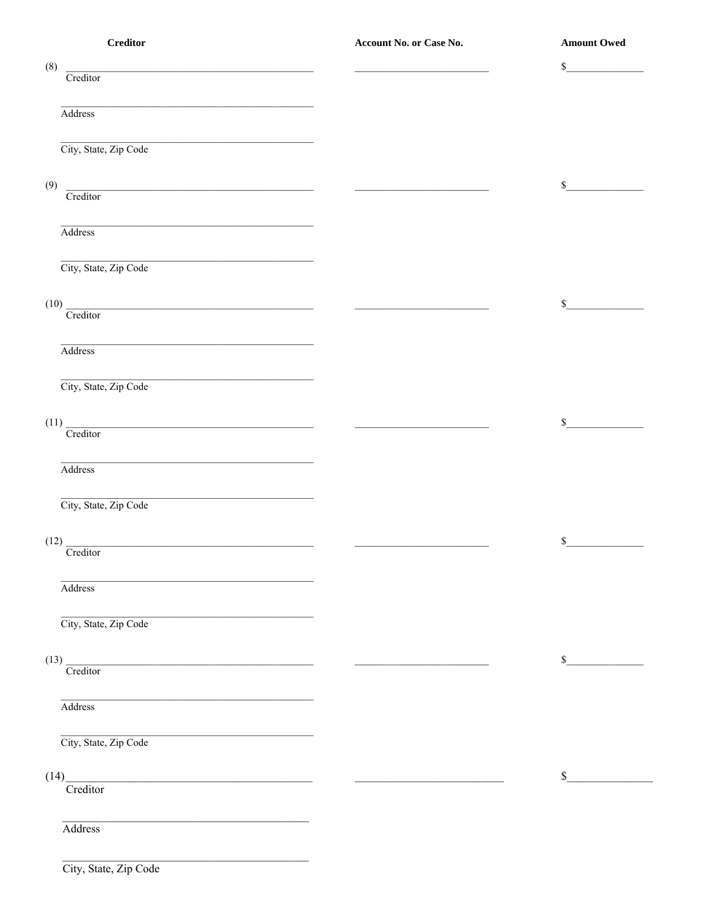| $\bf Creditor$                                                                                                                                  | Account No. or Case No.                          | <b>Amount Owed</b> |
|-------------------------------------------------------------------------------------------------------------------------------------------------|--------------------------------------------------|--------------------|
| (8)<br>Creditor                                                                                                                                 |                                                  | \$                 |
| Address                                                                                                                                         |                                                  |                    |
| City, State, Zip Code                                                                                                                           |                                                  |                    |
| (9)<br>Creditor                                                                                                                                 | <u> 1980 - Andrea Andrew Maria III, martin a</u> | $\mathbb S$        |
| the contract of the contract of the contract of the contract of the contract of the contract of<br>Address                                      |                                                  |                    |
| <u> 1989 - Johann John Stone, meil er fan de ferskearre fan de ferskearre fan de ferskearre fan de ferskearre fan</u><br>City, State, Zip Code  |                                                  |                    |
|                                                                                                                                                 |                                                  | \$                 |
| $(10)$ Creditor<br><u> 1989 - Johann Barbara, martxa alemaniar arg</u>                                                                          |                                                  |                    |
| Address                                                                                                                                         |                                                  |                    |
| City, State, Zip Code                                                                                                                           |                                                  |                    |
| $(11)$ Creditor                                                                                                                                 |                                                  | \$                 |
| Address                                                                                                                                         |                                                  |                    |
| City, State, Zip Code                                                                                                                           |                                                  |                    |
| $(12)$ $-$<br><u> 1989 - Johann Stoff, deutscher Stoff, der Stoff, der Stoff, der Stoff, der Stoff, der Stoff, der Stoff, der S</u><br>Creditor |                                                  | $\mathbb{S}$       |
| Address                                                                                                                                         |                                                  |                    |
| City, State, Zip Code                                                                                                                           |                                                  |                    |
| $\frac{(13)}{\text{Creditor}}$                                                                                                                  |                                                  | \$                 |
| Address                                                                                                                                         |                                                  |                    |
| City, State, Zip Code                                                                                                                           |                                                  |                    |
| $(14)$<br>Creditor                                                                                                                              |                                                  | \$                 |
|                                                                                                                                                 |                                                  |                    |
| Address                                                                                                                                         |                                                  |                    |